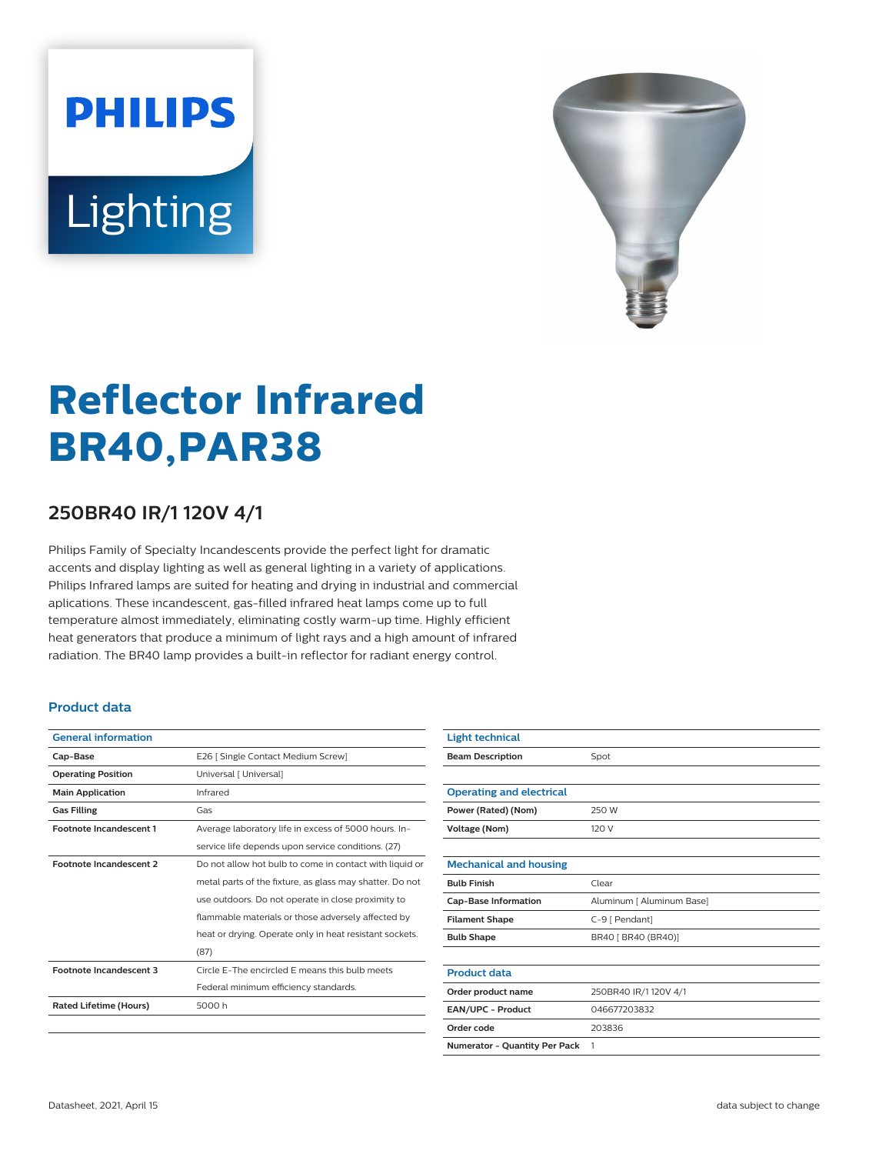# **PHILIPS** Lighting



## **Reflector Infrared BR40,PAR38**

### **250BR40 IR/1 120V 4/1**

Philips Family of Specialty Incandescents provide the perfect light for dramatic accents and display lighting as well as general lighting in a variety of applications. Philips Infrared lamps are suited for heating and drying in industrial and commercial aplications. These incandescent, gas-filled infrared heat lamps come up to full temperature almost immediately, eliminating costly warm-up time. Highly efficient heat generators that produce a minimum of light rays and a high amount of infrared radiation. The BR40 lamp provides a built-in reflector for radiant energy control.

#### **Product data**

| <b>General information</b>     |                                                          |
|--------------------------------|----------------------------------------------------------|
| Cap-Base                       | E26   Single Contact Medium Screw]                       |
| <b>Operating Position</b>      | Universal [ Universal]                                   |
| <b>Main Application</b>        | Infrared                                                 |
| <b>Gas Filling</b>             | Gas                                                      |
| <b>Footnote Incandescent 1</b> | Average laboratory life in excess of 5000 hours. In-     |
|                                | service life depends upon service conditions. (27)       |
| <b>Footnote Incandescent 2</b> | Do not allow hot bulb to come in contact with liquid or  |
|                                | metal parts of the fixture, as glass may shatter. Do not |
|                                | use outdoors. Do not operate in close proximity to       |
|                                | flammable materials or those adversely affected by       |
|                                | heat or drying. Operate only in heat resistant sockets.  |
|                                | (87)                                                     |
| <b>Footnote Incandescent 3</b> | Circle E-The encircled E means this bulb meets           |
|                                | Federal minimum efficiency standards.                    |
| <b>Rated Lifetime (Hours)</b>  | 5000 h                                                   |
|                                |                                                          |

| <b>Light technical</b>               |                           |
|--------------------------------------|---------------------------|
| <b>Beam Description</b>              | Spot                      |
|                                      |                           |
| <b>Operating and electrical</b>      |                           |
| Power (Rated) (Nom)                  | 250 W                     |
| <b>Voltage (Nom)</b>                 | 120 V                     |
|                                      |                           |
| <b>Mechanical and housing</b>        |                           |
| <b>Bulb Finish</b>                   | Clear                     |
| <b>Cap-Base Information</b>          | Aluminum [ Aluminum Base] |
| <b>Filament Shape</b>                | C-9 [ Pendant]            |
| <b>Bulb Shape</b>                    | BR40 [ BR40 (BR40)]       |
|                                      |                           |
| <b>Product data</b>                  |                           |
| Order product name                   | 250BR40 IR/1120V 4/1      |
| EAN/UPC - Product                    | 046677203832              |
| Order code                           | 203836                    |
| <b>Numerator - Quantity Per Pack</b> | 1                         |
|                                      |                           |